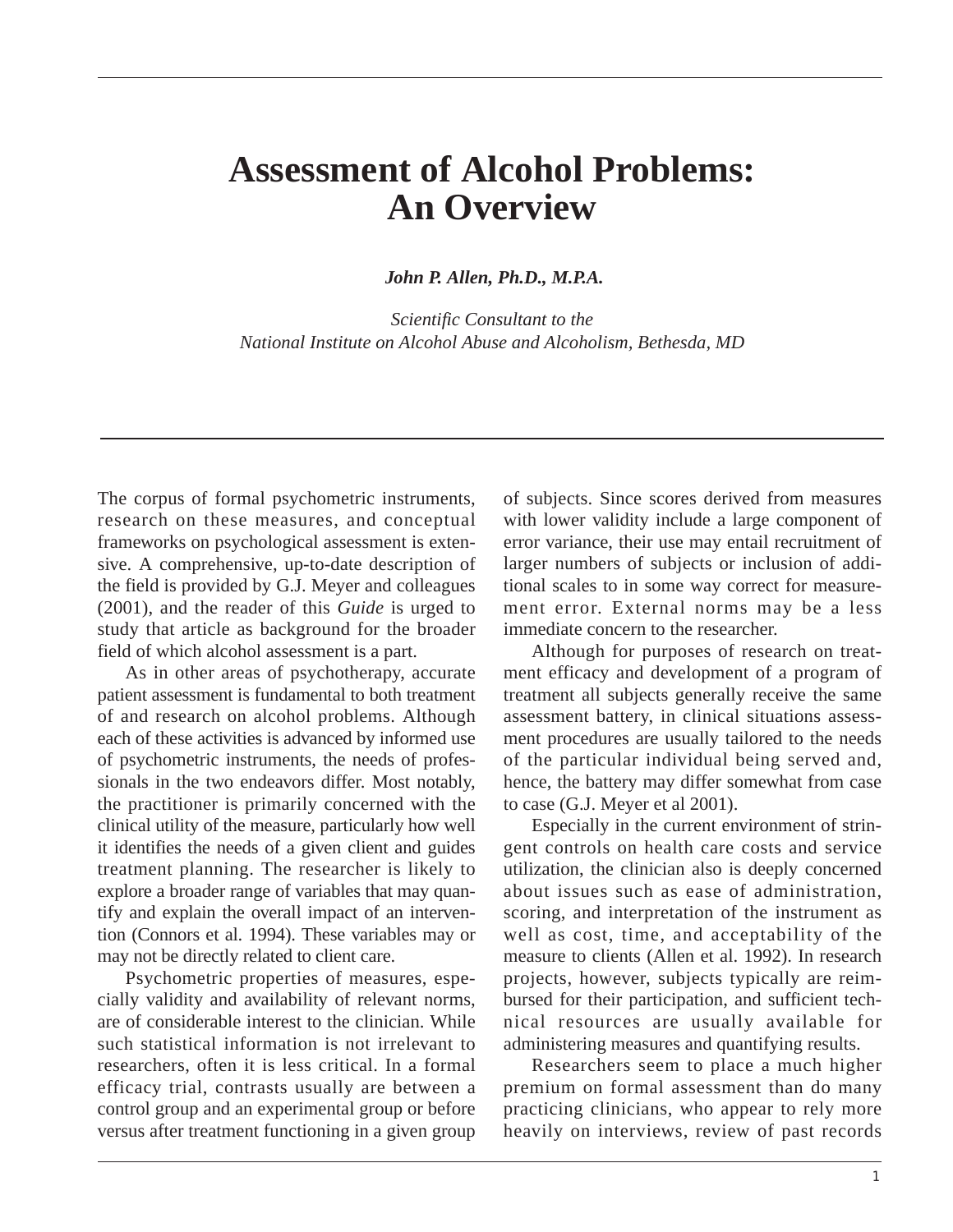# **Assessment of Alcohol Problems: An Overview**

*John P. Allen, Ph.D., M.P.A.* 

*Scientific Consultant to the National Institute on Alcohol Abuse and Alcoholism, Bethesda, MD* 

The corpus of formal psychometric instruments, research on these measures, and conceptual frameworks on psychological assessment is extensive. A comprehensive, up-to-date description of the field is provided by G.J. Meyer and colleagues (2001), and the reader of this *Guide* is urged to study that article as background for the broader field of which alcohol assessment is a part.

As in other areas of psychotherapy, accurate patient assessment is fundamental to both treatment of and research on alcohol problems. Although each of these activities is advanced by informed use of psychometric instruments, the needs of professionals in the two endeavors differ. Most notably, the practitioner is primarily concerned with the clinical utility of the measure, particularly how well it identifies the needs of a given client and guides treatment planning. The researcher is likely to explore a broader range of variables that may quantify and explain the overall impact of an intervention (Connors et al. 1994). These variables may or may not be directly related to client care.

Psychometric properties of measures, especially validity and availability of relevant norms, are of considerable interest to the clinician. While such statistical information is not irrelevant to researchers, often it is less critical. In a formal efficacy trial, contrasts usually are between a control group and an experimental group or before versus after treatment functioning in a given group

of subjects. Since scores derived from measures with lower validity include a large component of error variance, their use may entail recruitment of larger numbers of subjects or inclusion of additional scales to in some way correct for measurement error. External norms may be a less immediate concern to the researcher.

Although for purposes of research on treatment efficacy and development of a program of treatment all subjects generally receive the same assessment battery, in clinical situations assessment procedures are usually tailored to the needs of the particular individual being served and, hence, the battery may differ somewhat from case to case (G.J. Meyer et al 2001).

Especially in the current environment of stringent controls on health care costs and service utilization, the clinician also is deeply concerned about issues such as ease of administration, scoring, and interpretation of the instrument as well as cost, time, and acceptability of the measure to clients (Allen et al. 1992). In research projects, however, subjects typically are reimbursed for their participation, and sufficient technical resources are usually available for administering measures and quantifying results.

Researchers seem to place a much higher premium on formal assessment than do many practicing clinicians, who appear to rely more heavily on interviews, review of past records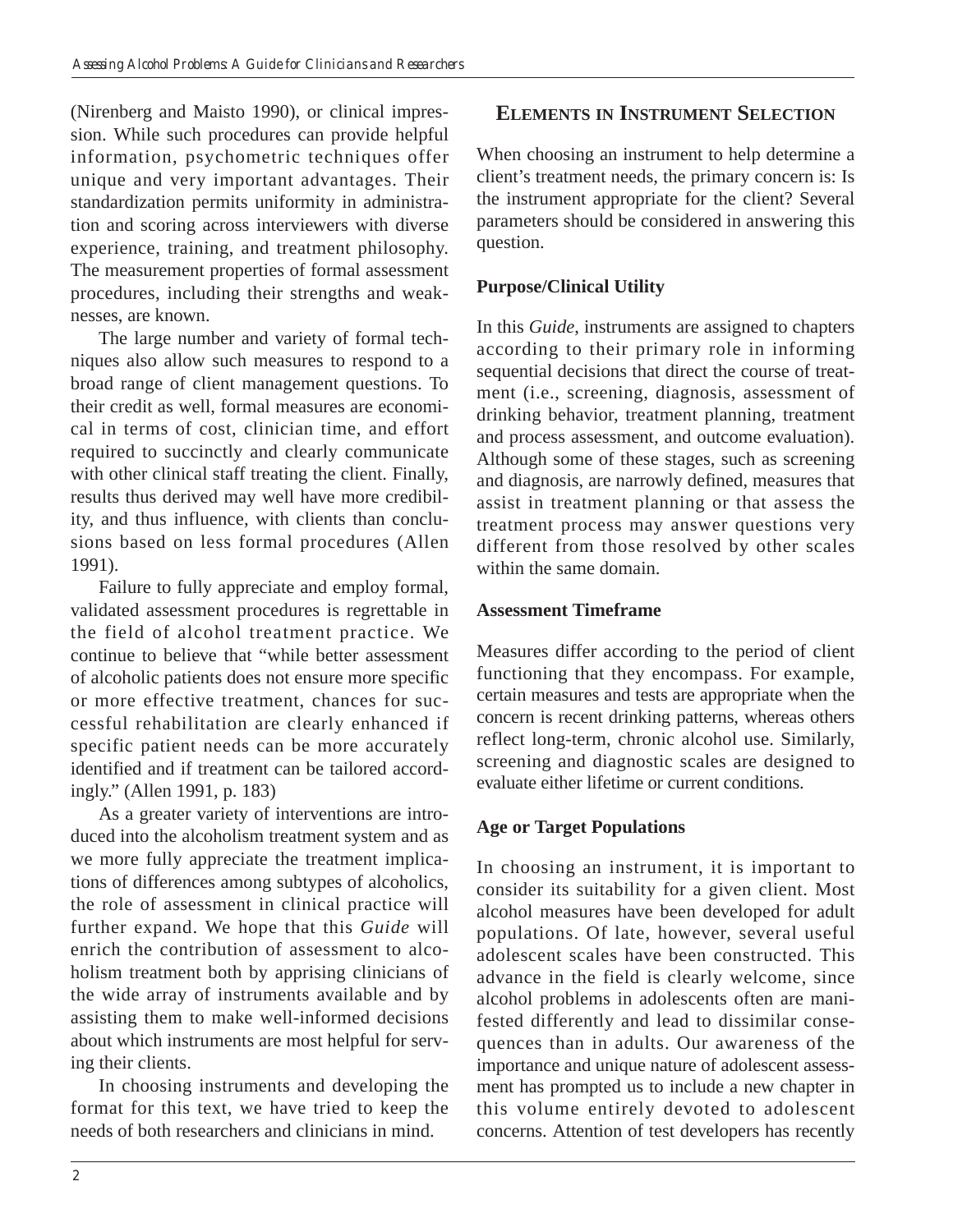(Nirenberg and Maisto 1990), or clinical impression. While such procedures can provide helpful information, psychometric techniques offer unique and very important advantages. Their standardization permits uniformity in administration and scoring across interviewers with diverse experience, training, and treatment philosophy. The measurement properties of formal assessment procedures, including their strengths and weaknesses, are known.

The large number and variety of formal techniques also allow such measures to respond to a broad range of client management questions. To their credit as well, formal measures are economical in terms of cost, clinician time, and effort required to succinctly and clearly communicate with other clinical staff treating the client. Finally, results thus derived may well have more credibility, and thus influence, with clients than conclusions based on less formal procedures (Allen 1991).

Failure to fully appreciate and employ formal, validated assessment procedures is regrettable in the field of alcohol treatment practice. We continue to believe that "while better assessment of alcoholic patients does not ensure more specific or more effective treatment, chances for successful rehabilitation are clearly enhanced if specific patient needs can be more accurately identified and if treatment can be tailored accordingly." (Allen 1991, p. 183)

As a greater variety of interventions are introduced into the alcoholism treatment system and as we more fully appreciate the treatment implications of differences among subtypes of alcoholics, the role of assessment in clinical practice will further expand. We hope that this *Guide* will enrich the contribution of assessment to alcoholism treatment both by apprising clinicians of the wide array of instruments available and by assisting them to make well-informed decisions about which instruments are most helpful for serving their clients.

In choosing instruments and developing the format for this text, we have tried to keep the needs of both researchers and clinicians in mind.

# **ELEMENTS IN INSTRUMENT SELECTION**

When choosing an instrument to help determine a client's treatment needs, the primary concern is: Is the instrument appropriate for the client? Several parameters should be considered in answering this question.

#### **Purpose/Clinical Utility**

In this *Guide*, instruments are assigned to chapters according to their primary role in informing sequential decisions that direct the course of treatment (i.e., screening, diagnosis, assessment of drinking behavior, treatment planning, treatment and process assessment, and outcome evaluation). Although some of these stages, such as screening and diagnosis, are narrowly defined, measures that assist in treatment planning or that assess the treatment process may answer questions very different from those resolved by other scales within the same domain.

#### **Assessment Timeframe**

Measures differ according to the period of client functioning that they encompass. For example, certain measures and tests are appropriate when the concern is recent drinking patterns, whereas others reflect long-term, chronic alcohol use. Similarly, screening and diagnostic scales are designed to evaluate either lifetime or current conditions.

#### **Age or Target Populations**

In choosing an instrument, it is important to consider its suitability for a given client. Most alcohol measures have been developed for adult populations. Of late, however, several useful adolescent scales have been constructed. This advance in the field is clearly welcome, since alcohol problems in adolescents often are manifested differently and lead to dissimilar consequences than in adults. Our awareness of the importance and unique nature of adolescent assessment has prompted us to include a new chapter in this volume entirely devoted to adolescent concerns. Attention of test developers has recently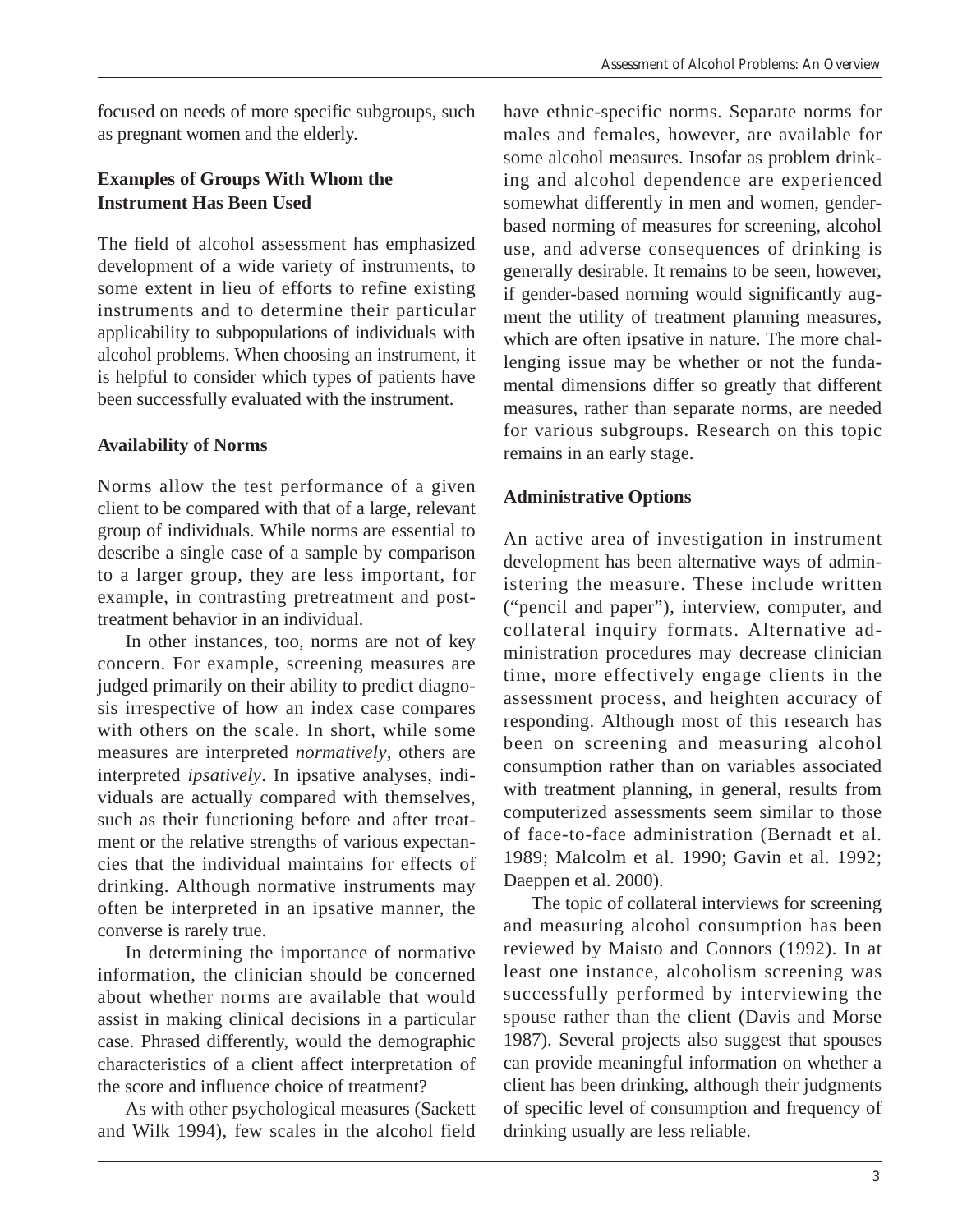focused on needs of more specific subgroups, such as pregnant women and the elderly.

#### **Examples of Groups With Whom the Instrument Has Been Used**

The field of alcohol assessment has emphasized development of a wide variety of instruments, to some extent in lieu of efforts to refine existing instruments and to determine their particular applicability to subpopulations of individuals with alcohol problems. When choosing an instrument, it is helpful to consider which types of patients have been successfully evaluated with the instrument.

#### **Availability of Norms**

Norms allow the test performance of a given client to be compared with that of a large, relevant group of individuals. While norms are essential to describe a single case of a sample by comparison to a larger group, they are less important, for example, in contrasting pretreatment and posttreatment behavior in an individual.

In other instances, too, norms are not of key concern. For example, screening measures are judged primarily on their ability to predict diagnosis irrespective of how an index case compares with others on the scale. In short, while some measures are interpreted *normatively*, others are interpreted *ipsatively*. In ipsative analyses, individuals are actually compared with themselves, such as their functioning before and after treatment or the relative strengths of various expectancies that the individual maintains for effects of drinking. Although normative instruments may often be interpreted in an ipsative manner, the converse is rarely true.

In determining the importance of normative information, the clinician should be concerned about whether norms are available that would assist in making clinical decisions in a particular case. Phrased differently, would the demographic characteristics of a client affect interpretation of the score and influence choice of treatment?

As with other psychological measures (Sackett and Wilk 1994), few scales in the alcohol field

have ethnic-specific norms. Separate norms for males and females, however, are available for some alcohol measures. Insofar as problem drinking and alcohol dependence are experienced somewhat differently in men and women, genderbased norming of measures for screening, alcohol use, and adverse consequences of drinking is generally desirable. It remains to be seen, however, if gender-based norming would significantly augment the utility of treatment planning measures, which are often ipsative in nature. The more challenging issue may be whether or not the fundamental dimensions differ so greatly that different measures, rather than separate norms, are needed for various subgroups. Research on this topic remains in an early stage.

## **Administrative Options**

An active area of investigation in instrument development has been alternative ways of administering the measure. These include written ("pencil and paper"), interview, computer, and collateral inquiry formats. Alternative administration procedures may decrease clinician time, more effectively engage clients in the assessment process, and heighten accuracy of responding. Although most of this research has been on screening and measuring alcohol consumption rather than on variables associated with treatment planning, in general, results from computerized assessments seem similar to those of face-to-face administration (Bernadt et al. 1989; Malcolm et al. 1990; Gavin et al. 1992; Daeppen et al. 2000).

The topic of collateral interviews for screening and measuring alcohol consumption has been reviewed by Maisto and Connors (1992). In at least one instance, alcoholism screening was successfully performed by interviewing the spouse rather than the client (Davis and Morse 1987). Several projects also suggest that spouses can provide meaningful information on whether a client has been drinking, although their judgments of specific level of consumption and frequency of drinking usually are less reliable.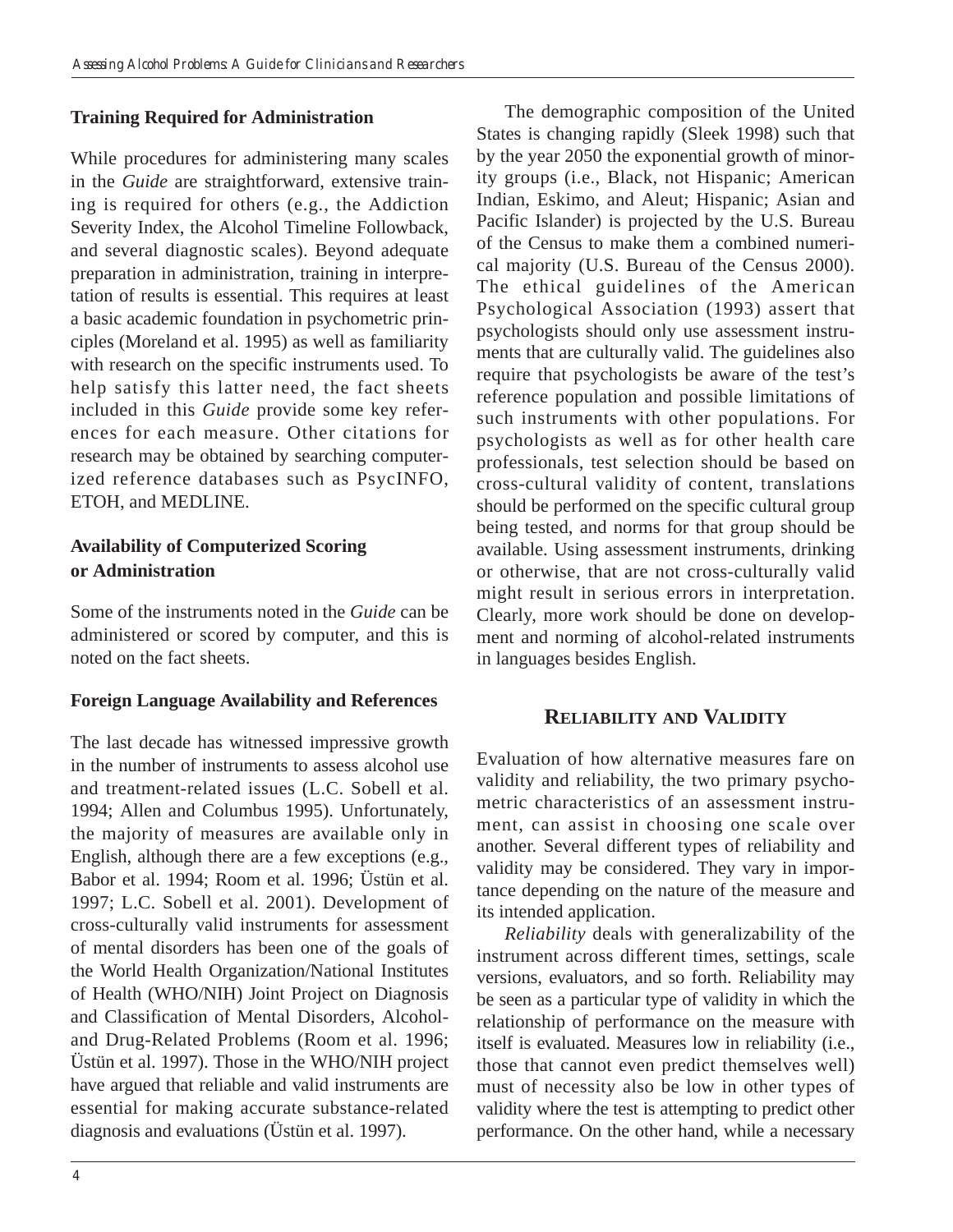#### **Training Required for Administration**

While procedures for administering many scales in the *Guide* are straightforward, extensive training is required for others (e.g., the Addiction Severity Index, the Alcohol Timeline Followback, and several diagnostic scales). Beyond adequate preparation in administration, training in interpretation of results is essential. This requires at least a basic academic foundation in psychometric principles (Moreland et al. 1995) as well as familiarity with research on the specific instruments used. To help satisfy this latter need, the fact sheets included in this *Guide* provide some key references for each measure. Other citations for research may be obtained by searching computerized reference databases such as PsycINFO, ETOH, and MEDLINE.

#### **Availability of Computerized Scoring or Administration**

Some of the instruments noted in the *Guide* can be administered or scored by computer, and this is noted on the fact sheets.

#### **Foreign Language Availability and References**

The last decade has witnessed impressive growth in the number of instruments to assess alcohol use and treatment-related issues (L.C. Sobell et al. 1994; Allen and Columbus 1995). Unfortunately, the majority of measures are available only in English, although there are a few exceptions (e.g., Babor et al. 1994; Room et al. 1996; Üstün et al. 1997; L.C. Sobell et al. 2001). Development of cross-culturally valid instruments for assessment of mental disorders has been one of the goals of the World Health Organization/National Institutes of Health (WHO/NIH) Joint Project on Diagnosis and Classification of Mental Disorders, Alcoholand Drug-Related Problems (Room et al. 1996; Üstün et al. 1997). Those in the WHO/NIH project have argued that reliable and valid instruments are essential for making accurate substance-related diagnosis and evaluations (Üstün et al. 1997).

The demographic composition of the United States is changing rapidly (Sleek 1998) such that by the year 2050 the exponential growth of minority groups (i.e., Black, not Hispanic; American Indian, Eskimo, and Aleut; Hispanic; Asian and Pacific Islander) is projected by the U.S. Bureau of the Census to make them a combined numerical majority (U.S. Bureau of the Census 2000). The ethical guidelines of the American Psychological Association (1993) assert that psychologists should only use assessment instruments that are culturally valid. The guidelines also require that psychologists be aware of the test's reference population and possible limitations of such instruments with other populations. For psychologists as well as for other health care professionals, test selection should be based on cross-cultural validity of content, translations should be performed on the specific cultural group being tested, and norms for that group should be available. Using assessment instruments, drinking or otherwise, that are not cross-culturally valid might result in serious errors in interpretation. Clearly, more work should be done on development and norming of alcohol-related instruments in languages besides English.

## **RELIABILITY AND VALIDITY**

Evaluation of how alternative measures fare on validity and reliability, the two primary psychometric characteristics of an assessment instrument, can assist in choosing one scale over another. Several different types of reliability and validity may be considered. They vary in importance depending on the nature of the measure and its intended application.

*Reliability* deals with generalizability of the instrument across different times, settings, scale versions, evaluators, and so forth. Reliability may be seen as a particular type of validity in which the relationship of performance on the measure with itself is evaluated. Measures low in reliability (i.e., those that cannot even predict themselves well) must of necessity also be low in other types of validity where the test is attempting to predict other performance. On the other hand, while a necessary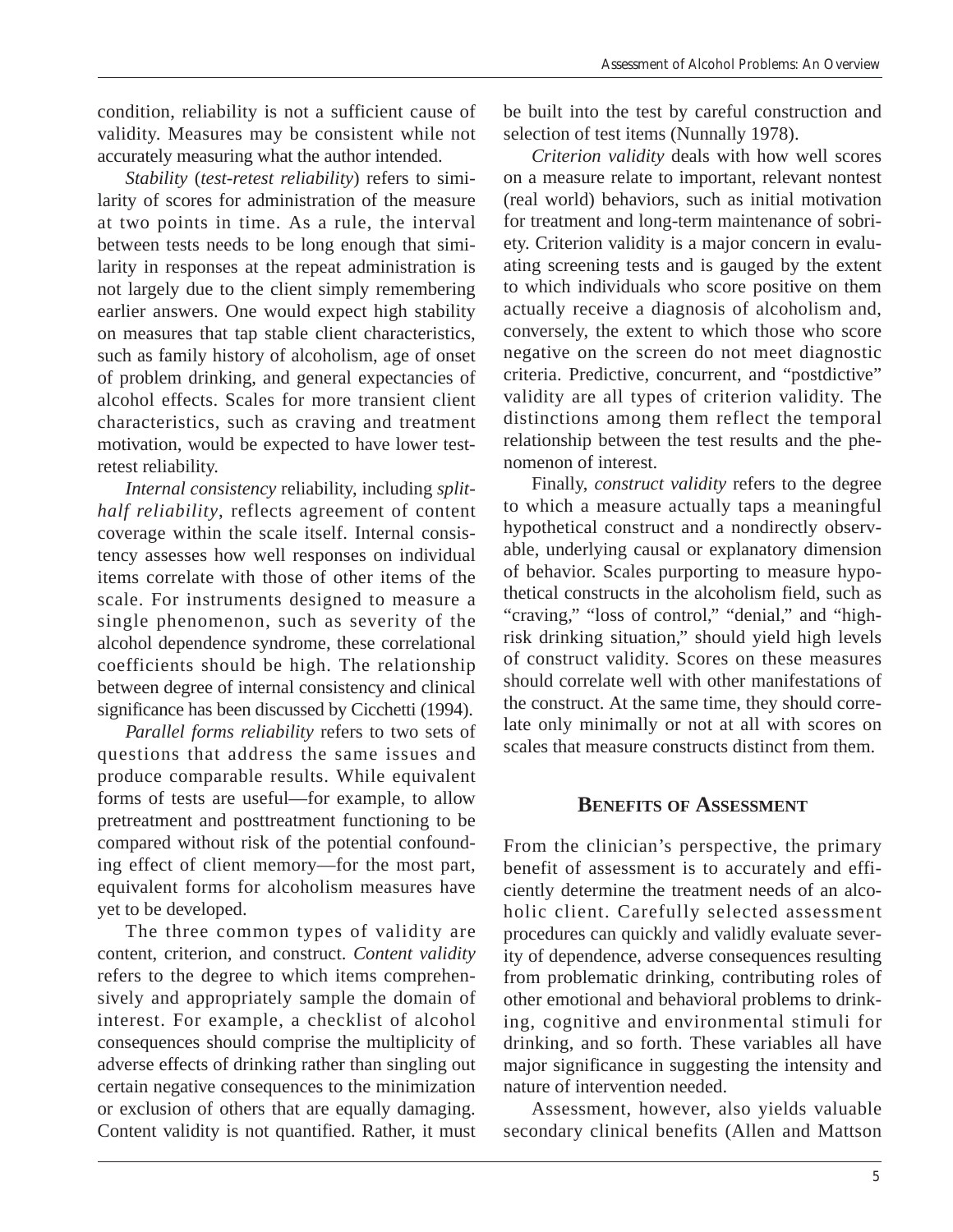condition, reliability is not a sufficient cause of validity. Measures may be consistent while not accurately measuring what the author intended.

*Stability* (*test-retest reliability*) refers to similarity of scores for administration of the measure at two points in time. As a rule, the interval between tests needs to be long enough that similarity in responses at the repeat administration is not largely due to the client simply remembering earlier answers. One would expect high stability on measures that tap stable client characteristics, such as family history of alcoholism, age of onset of problem drinking, and general expectancies of alcohol effects. Scales for more transient client characteristics, such as craving and treatment motivation, would be expected to have lower testretest reliability.

*Internal consistency* reliability, including *splithalf reliability*, reflects agreement of content coverage within the scale itself. Internal consistency assesses how well responses on individual items correlate with those of other items of the scale. For instruments designed to measure a single phenomenon, such as severity of the alcohol dependence syndrome, these correlational coefficients should be high. The relationship between degree of internal consistency and clinical significance has been discussed by Cicchetti (1994).

*Parallel forms reliability* refers to two sets of questions that address the same issues and produce comparable results. While equivalent forms of tests are useful—for example, to allow pretreatment and posttreatment functioning to be compared without risk of the potential confounding effect of client memory—for the most part, equivalent forms for alcoholism measures have yet to be developed.

The three common types of validity are content, criterion, and construct. *Content validity*  refers to the degree to which items comprehensively and appropriately sample the domain of interest. For example, a checklist of alcohol consequences should comprise the multiplicity of adverse effects of drinking rather than singling out certain negative consequences to the minimization or exclusion of others that are equally damaging. Content validity is not quantified. Rather, it must

be built into the test by careful construction and selection of test items (Nunnally 1978).

*Criterion validity* deals with how well scores on a measure relate to important, relevant nontest (real world) behaviors, such as initial motivation for treatment and long-term maintenance of sobriety. Criterion validity is a major concern in evaluating screening tests and is gauged by the extent to which individuals who score positive on them actually receive a diagnosis of alcoholism and, conversely, the extent to which those who score negative on the screen do not meet diagnostic criteria. Predictive, concurrent, and "postdictive" validity are all types of criterion validity. The distinctions among them reflect the temporal relationship between the test results and the phenomenon of interest.

Finally, *construct validity* refers to the degree to which a measure actually taps a meaningful hypothetical construct and a nondirectly observable, underlying causal or explanatory dimension of behavior. Scales purporting to measure hypothetical constructs in the alcoholism field, such as "craving," "loss of control," "denial," and "highrisk drinking situation," should yield high levels of construct validity. Scores on these measures should correlate well with other manifestations of the construct. At the same time, they should correlate only minimally or not at all with scores on scales that measure constructs distinct from them.

#### **BENEFITS OF ASSESSMENT**

From the clinician's perspective, the primary benefit of assessment is to accurately and efficiently determine the treatment needs of an alcoholic client. Carefully selected assessment procedures can quickly and validly evaluate severity of dependence, adverse consequences resulting from problematic drinking, contributing roles of other emotional and behavioral problems to drinking, cognitive and environmental stimuli for drinking, and so forth. These variables all have major significance in suggesting the intensity and nature of intervention needed.

Assessment, however, also yields valuable secondary clinical benefits (Allen and Mattson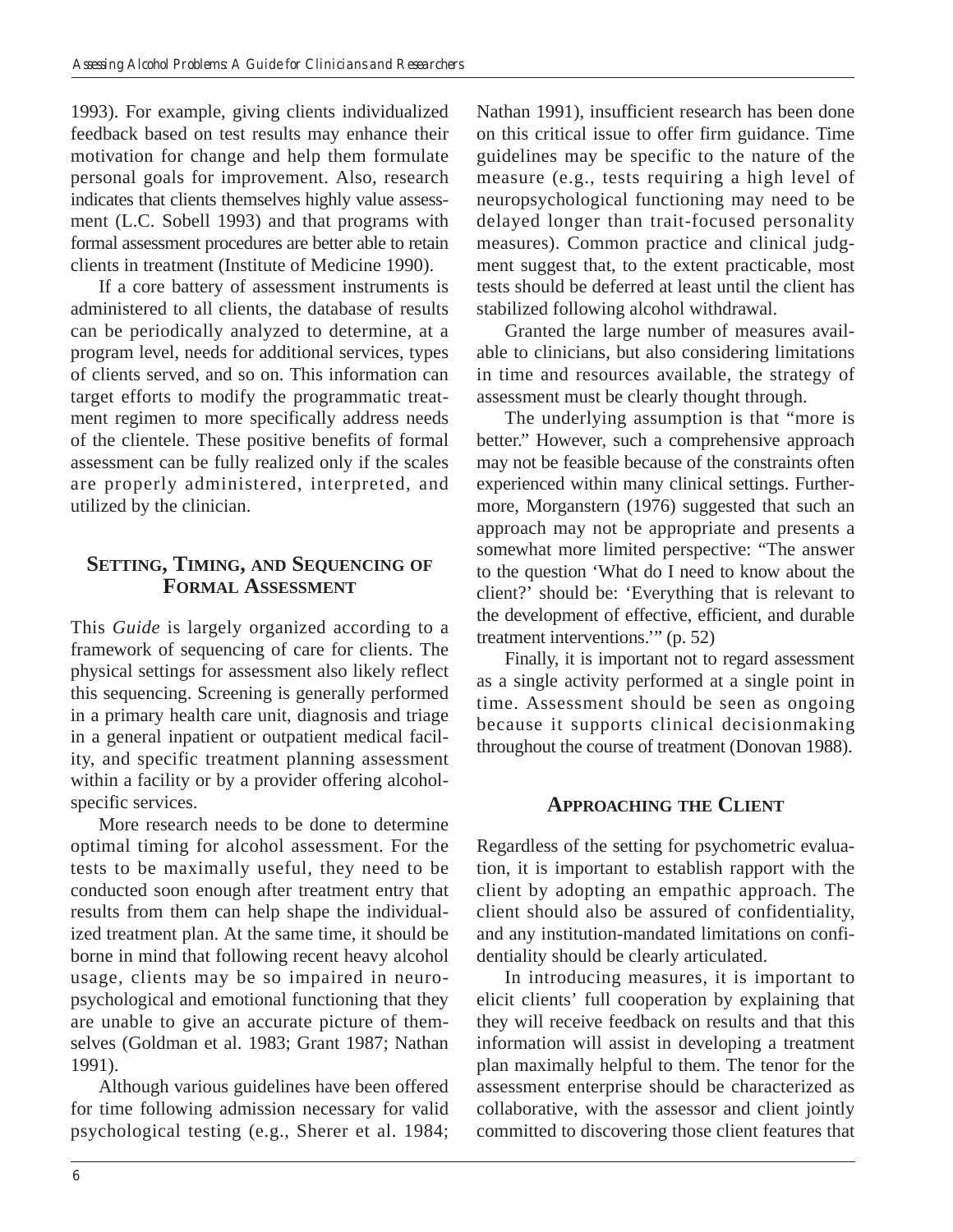1993). For example, giving clients individualized feedback based on test results may enhance their motivation for change and help them formulate personal goals for improvement. Also, research indicates that clients themselves highly value assessment (L.C. Sobell 1993) and that programs with formal assessment procedures are better able to retain clients in treatment (Institute of Medicine 1990).

If a core battery of assessment instruments is administered to all clients, the database of results can be periodically analyzed to determine, at a program level, needs for additional services, types of clients served, and so on. This information can target efforts to modify the programmatic treatment regimen to more specifically address needs of the clientele. These positive benefits of formal assessment can be fully realized only if the scales are properly administered, interpreted, and utilized by the clinician.

#### **SETTING, TIMING, AND SEQUENCING OF FORMAL ASSESSMENT**

This *Guide* is largely organized according to a framework of sequencing of care for clients. The physical settings for assessment also likely reflect this sequencing. Screening is generally performed in a primary health care unit, diagnosis and triage in a general inpatient or outpatient medical facility, and specific treatment planning assessment within a facility or by a provider offering alcoholspecific services.

More research needs to be done to determine optimal timing for alcohol assessment. For the tests to be maximally useful, they need to be conducted soon enough after treatment entry that results from them can help shape the individualized treatment plan. At the same time, it should be borne in mind that following recent heavy alcohol usage, clients may be so impaired in neuropsychological and emotional functioning that they are unable to give an accurate picture of themselves (Goldman et al. 1983; Grant 1987; Nathan 1991).

Although various guidelines have been offered for time following admission necessary for valid psychological testing (e.g., Sherer et al. 1984; Nathan 1991), insufficient research has been done on this critical issue to offer firm guidance. Time guidelines may be specific to the nature of the measure (e.g., tests requiring a high level of neuropsychological functioning may need to be delayed longer than trait-focused personality measures). Common practice and clinical judgment suggest that, to the extent practicable, most tests should be deferred at least until the client has stabilized following alcohol withdrawal.

Granted the large number of measures available to clinicians, but also considering limitations in time and resources available, the strategy of assessment must be clearly thought through.

The underlying assumption is that "more is better." However, such a comprehensive approach may not be feasible because of the constraints often experienced within many clinical settings. Furthermore, Morganstern (1976) suggested that such an approach may not be appropriate and presents a somewhat more limited perspective: "The answer to the question 'What do I need to know about the client?' should be: 'Everything that is relevant to the development of effective, efficient, and durable treatment interventions.'" (p. 52)

Finally, it is important not to regard assessment as a single activity performed at a single point in time. Assessment should be seen as ongoing because it supports clinical decisionmaking throughout the course of treatment (Donovan 1988).

#### **APPROACHING THE CLIENT**

Regardless of the setting for psychometric evaluation, it is important to establish rapport with the client by adopting an empathic approach. The client should also be assured of confidentiality, and any institution-mandated limitations on confidentiality should be clearly articulated.

In introducing measures, it is important to elicit clients' full cooperation by explaining that they will receive feedback on results and that this information will assist in developing a treatment plan maximally helpful to them. The tenor for the assessment enterprise should be characterized as collaborative, with the assessor and client jointly committed to discovering those client features that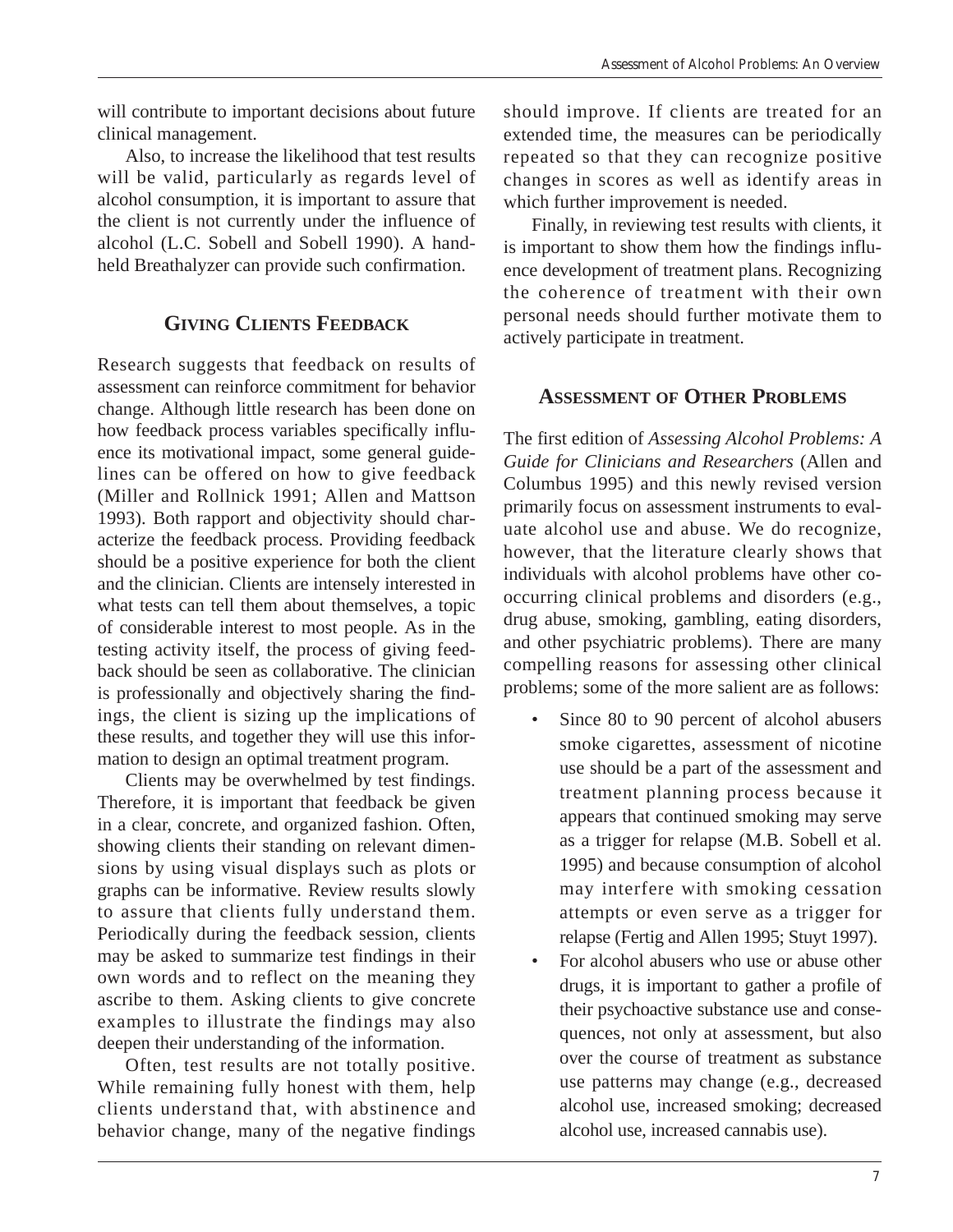will contribute to important decisions about future clinical management.

Also, to increase the likelihood that test results will be valid, particularly as regards level of alcohol consumption, it is important to assure that the client is not currently under the influence of alcohol (L.C. Sobell and Sobell 1990). A handheld Breathalyzer can provide such confirmation.

## **GIVING CLIENTS FEEDBACK**

Research suggests that feedback on results of assessment can reinforce commitment for behavior change. Although little research has been done on how feedback process variables specifically influence its motivational impact, some general guidelines can be offered on how to give feedback (Miller and Rollnick 1991; Allen and Mattson 1993). Both rapport and objectivity should characterize the feedback process. Providing feedback should be a positive experience for both the client and the clinician. Clients are intensely interested in what tests can tell them about themselves, a topic of considerable interest to most people. As in the testing activity itself, the process of giving feedback should be seen as collaborative. The clinician is professionally and objectively sharing the findings, the client is sizing up the implications of these results, and together they will use this information to design an optimal treatment program.

Clients may be overwhelmed by test findings. Therefore, it is important that feedback be given in a clear, concrete, and organized fashion. Often, showing clients their standing on relevant dimensions by using visual displays such as plots or graphs can be informative. Review results slowly to assure that clients fully understand them. Periodically during the feedback session, clients may be asked to summarize test findings in their own words and to reflect on the meaning they ascribe to them. Asking clients to give concrete examples to illustrate the findings may also deepen their understanding of the information.

Often, test results are not totally positive. While remaining fully honest with them, help clients understand that, with abstinence and behavior change, many of the negative findings

should improve. If clients are treated for an extended time, the measures can be periodically repeated so that they can recognize positive changes in scores as well as identify areas in which further improvement is needed.

Finally, in reviewing test results with clients, it is important to show them how the findings influence development of treatment plans. Recognizing the coherence of treatment with their own personal needs should further motivate them to actively participate in treatment.

# **ASSESSMENT OF OTHER PROBLEMS**

The first edition of *Assessing Alcohol Problems: A Guide for Clinicians and Researchers* (Allen and Columbus 1995) and this newly revised version primarily focus on assessment instruments to evaluate alcohol use and abuse. We do recognize, however, that the literature clearly shows that individuals with alcohol problems have other cooccurring clinical problems and disorders (e.g., drug abuse, smoking, gambling, eating disorders, and other psychiatric problems). There are many compelling reasons for assessing other clinical problems; some of the more salient are as follows:

- Since 80 to 90 percent of alcohol abusers smoke cigarettes, assessment of nicotine use should be a part of the assessment and treatment planning process because it appears that continued smoking may serve as a trigger for relapse (M.B. Sobell et al. 1995) and because consumption of alcohol may interfere with smoking cessation attempts or even serve as a trigger for relapse (Fertig and Allen 1995; Stuyt 1997).
- For alcohol abusers who use or abuse other drugs, it is important to gather a profile of their psychoactive substance use and consequences, not only at assessment, but also over the course of treatment as substance use patterns may change (e.g., decreased alcohol use, increased smoking; decreased alcohol use, increased cannabis use).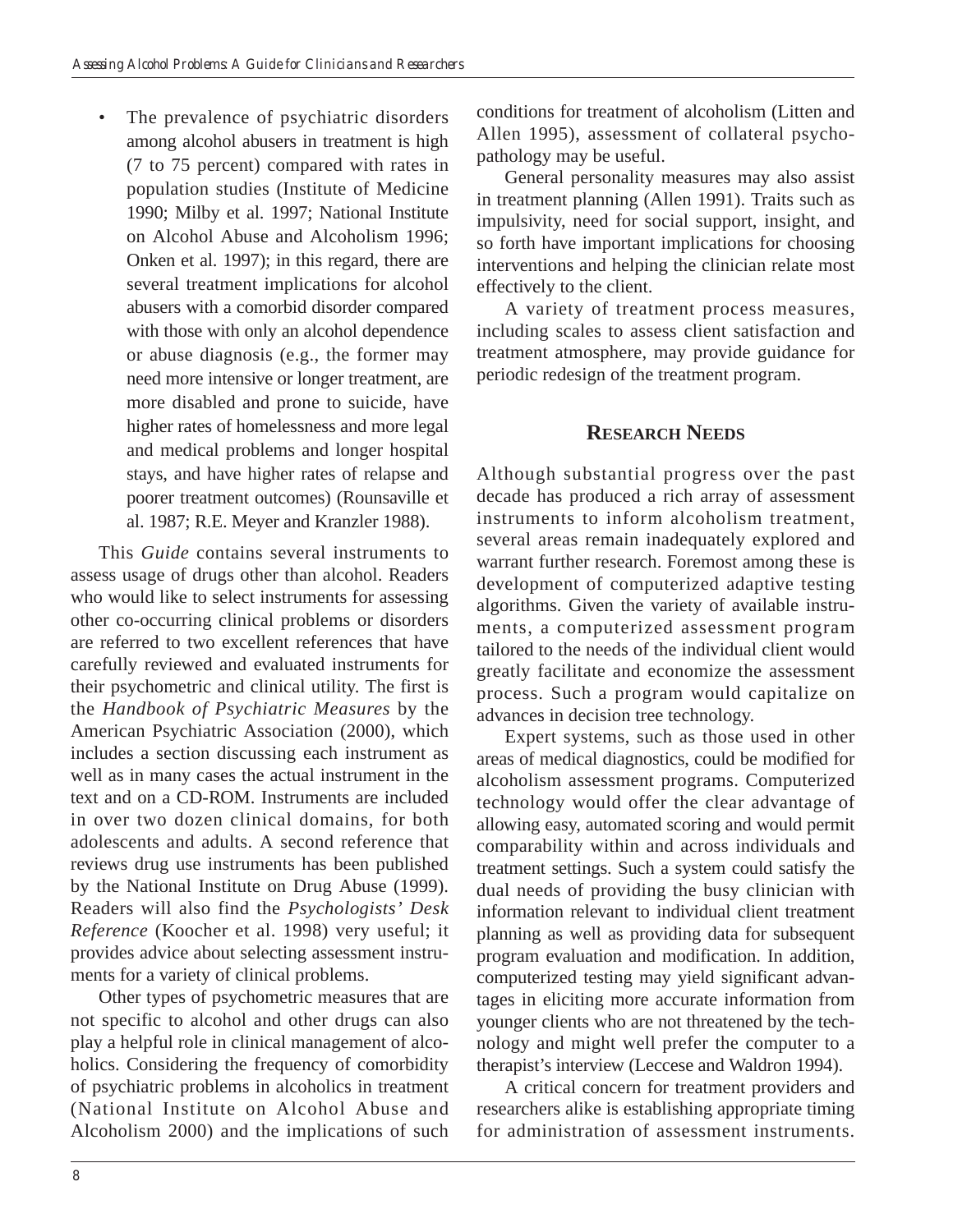The prevalence of psychiatric disorders among alcohol abusers in treatment is high (7 to 75 percent) compared with rates in population studies (Institute of Medicine 1990; Milby et al. 1997; National Institute on Alcohol Abuse and Alcoholism 1996; Onken et al. 1997); in this regard, there are several treatment implications for alcohol abusers with a comorbid disorder compared with those with only an alcohol dependence or abuse diagnosis (e.g., the former may need more intensive or longer treatment, are more disabled and prone to suicide, have higher rates of homelessness and more legal and medical problems and longer hospital stays, and have higher rates of relapse and poorer treatment outcomes) (Rounsaville et al. 1987; R.E. Meyer and Kranzler 1988).

This *Guide* contains several instruments to assess usage of drugs other than alcohol. Readers who would like to select instruments for assessing other co-occurring clinical problems or disorders are referred to two excellent references that have carefully reviewed and evaluated instruments for their psychometric and clinical utility. The first is the *Handbook of Psychiatric Measures* by the American Psychiatric Association (2000), which includes a section discussing each instrument as well as in many cases the actual instrument in the text and on a CD-ROM. Instruments are included in over two dozen clinical domains, for both adolescents and adults. A second reference that reviews drug use instruments has been published by the National Institute on Drug Abuse (1999). Readers will also find the *Psychologists' Desk Reference* (Koocher et al. 1998) very useful; it provides advice about selecting assessment instruments for a variety of clinical problems.

Other types of psychometric measures that are not specific to alcohol and other drugs can also play a helpful role in clinical management of alcoholics. Considering the frequency of comorbidity of psychiatric problems in alcoholics in treatment (National Institute on Alcohol Abuse and Alcoholism 2000) and the implications of such

conditions for treatment of alcoholism (Litten and Allen 1995), assessment of collateral psychopathology may be useful.

General personality measures may also assist in treatment planning (Allen 1991). Traits such as impulsivity, need for social support, insight, and so forth have important implications for choosing interventions and helping the clinician relate most effectively to the client.

A variety of treatment process measures, including scales to assess client satisfaction and treatment atmosphere, may provide guidance for periodic redesign of the treatment program.

# **RESEARCH NEEDS**

Although substantial progress over the past decade has produced a rich array of assessment instruments to inform alcoholism treatment, several areas remain inadequately explored and warrant further research. Foremost among these is development of computerized adaptive testing algorithms. Given the variety of available instruments, a computerized assessment program tailored to the needs of the individual client would greatly facilitate and economize the assessment process. Such a program would capitalize on advances in decision tree technology.

Expert systems, such as those used in other areas of medical diagnostics, could be modified for alcoholism assessment programs. Computerized technology would offer the clear advantage of allowing easy, automated scoring and would permit comparability within and across individuals and treatment settings. Such a system could satisfy the dual needs of providing the busy clinician with information relevant to individual client treatment planning as well as providing data for subsequent program evaluation and modification. In addition, computerized testing may yield significant advantages in eliciting more accurate information from younger clients who are not threatened by the technology and might well prefer the computer to a therapist's interview (Leccese and Waldron 1994).

A critical concern for treatment providers and researchers alike is establishing appropriate timing for administration of assessment instruments.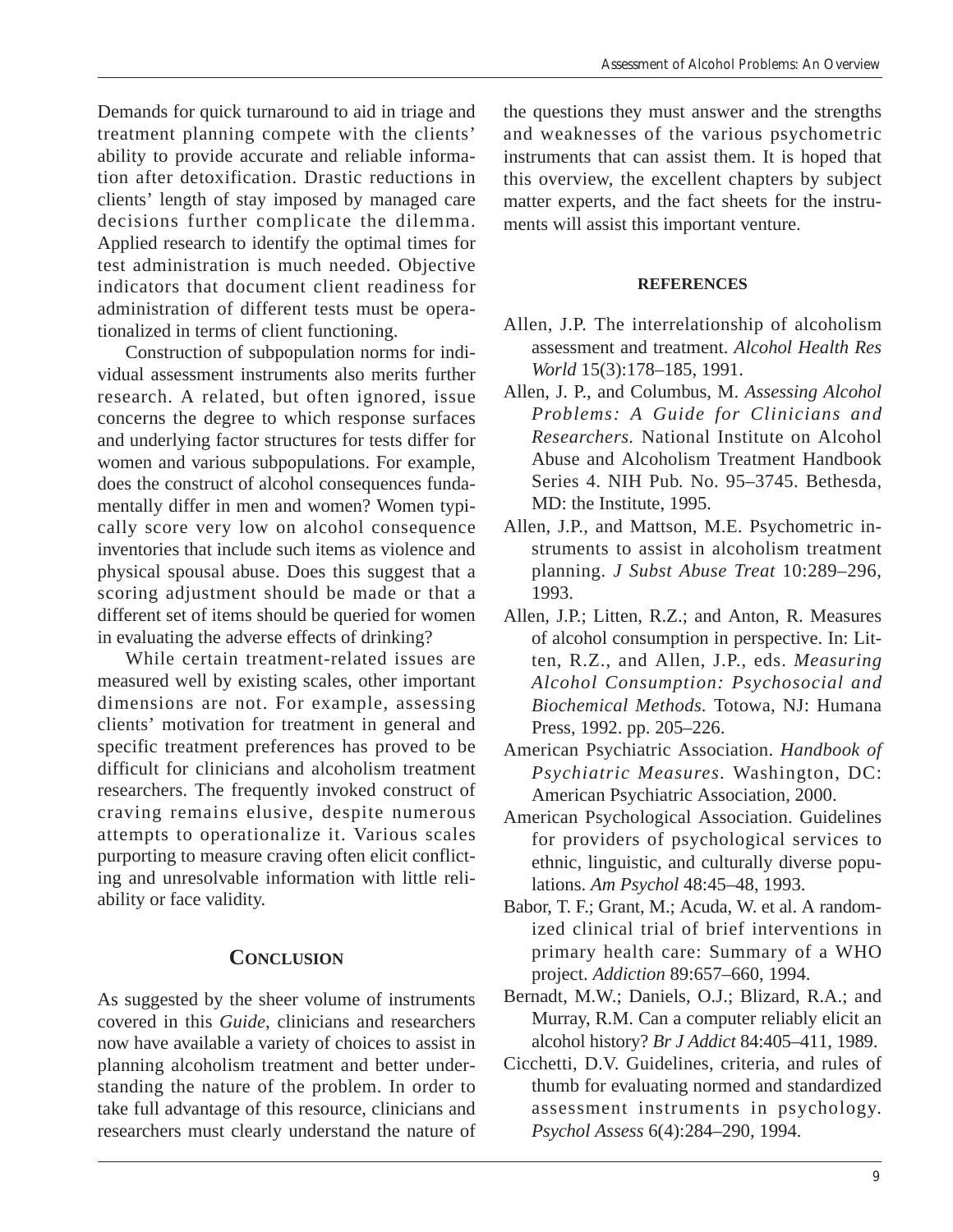Demands for quick turnaround to aid in triage and treatment planning compete with the clients' ability to provide accurate and reliable information after detoxification. Drastic reductions in clients' length of stay imposed by managed care decisions further complicate the dilemma. Applied research to identify the optimal times for test administration is much needed. Objective indicators that document client readiness for administration of different tests must be operationalized in terms of client functioning.

Construction of subpopulation norms for individual assessment instruments also merits further research. A related, but often ignored, issue concerns the degree to which response surfaces and underlying factor structures for tests differ for women and various subpopulations. For example, does the construct of alcohol consequences fundamentally differ in men and women? Women typically score very low on alcohol consequence inventories that include such items as violence and physical spousal abuse. Does this suggest that a scoring adjustment should be made or that a different set of items should be queried for women in evaluating the adverse effects of drinking?

While certain treatment-related issues are measured well by existing scales, other important dimensions are not. For example, assessing clients' motivation for treatment in general and specific treatment preferences has proved to be difficult for clinicians and alcoholism treatment researchers. The frequently invoked construct of craving remains elusive, despite numerous attempts to operationalize it. Various scales purporting to measure craving often elicit conflicting and unresolvable information with little reliability or face validity.

#### **CONCLUSION**

As suggested by the sheer volume of instruments covered in this *Guide*, clinicians and researchers now have available a variety of choices to assist in planning alcoholism treatment and better understanding the nature of the problem. In order to take full advantage of this resource, clinicians and researchers must clearly understand the nature of

the questions they must answer and the strengths and weaknesses of the various psychometric instruments that can assist them. It is hoped that this overview, the excellent chapters by subject matter experts, and the fact sheets for the instruments will assist this important venture.

#### **REFERENCES**

- Allen, J.P. The interrelationship of alcoholism assessment and treatment. *Alcohol Health Res World* 15(3):178–185, 1991.
- Allen, J. P., and Columbus, M. *Assessing Alcohol Problems: A Guide for Clinicians and Researchers.* National Institute on Alcohol Abuse and Alcoholism Treatment Handbook Series 4. NIH Pub. No. 95–3745. Bethesda, MD: the Institute, 1995.
- Allen, J.P., and Mattson, M.E. Psychometric instruments to assist in alcoholism treatment planning. *J Subst Abuse Treat* 10:289–296, 1993.
- Allen, J.P.; Litten, R.Z.; and Anton, R. Measures of alcohol consumption in perspective. In: Litten, R.Z., and Allen, J.P., eds. *Measuring Alcohol Consumption: Psychosocial and Biochemical Methods.* Totowa, NJ: Humana Press, 1992. pp. 205–226.
- American Psychiatric Association. *Handbook of Psychiatric Measures.* Washington, DC: American Psychiatric Association, 2000.
- American Psychological Association. Guidelines for providers of psychological services to ethnic, linguistic, and culturally diverse populations. *Am Psychol* 48:45–48, 1993.
- Babor, T. F.; Grant, M.; Acuda, W. et al. A randomized clinical trial of brief interventions in primary health care: Summary of a WHO project. *Addiction* 89:657–660, 1994.
- Bernadt, M.W.; Daniels, O.J.; Blizard, R.A.; and Murray, R.M. Can a computer reliably elicit an alcohol history? *Br J Addict* 84:405–411, 1989.
- Cicchetti, D.V. Guidelines, criteria, and rules of thumb for evaluating normed and standardized assessment instruments in psychology. *Psychol Assess* 6(4):284–290, 1994.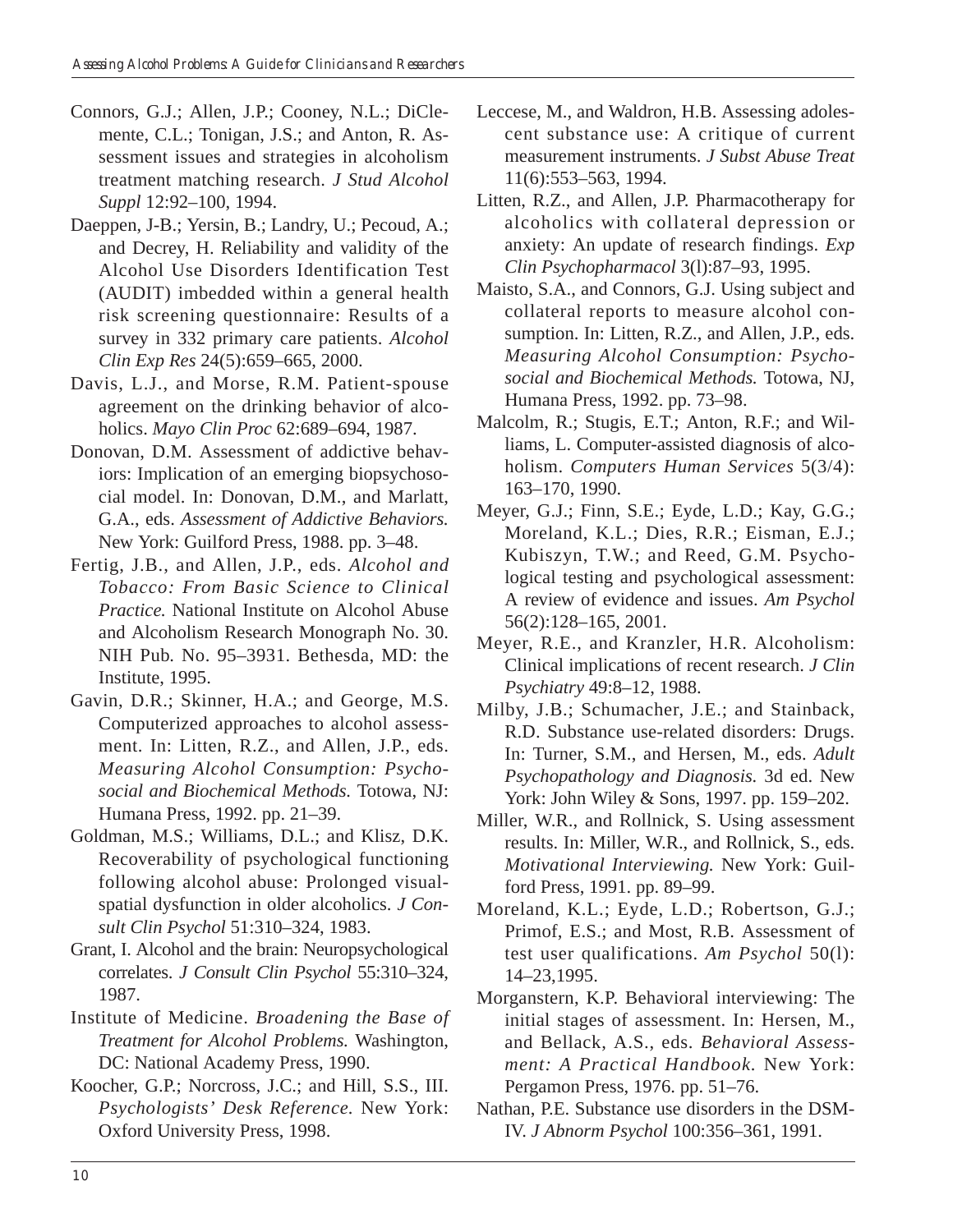- Connors, G.J.; Allen, J.P.; Cooney, N.L.; DiClemente, C.L.; Tonigan, J.S.; and Anton, R. Assessment issues and strategies in alcoholism treatment matching research. *J Stud Alcohol Suppl* 12:92–100, 1994.
- Daeppen, J-B.; Yersin, B.; Landry, U.; Pecoud, A.; and Decrey, H. Reliability and validity of the Alcohol Use Disorders Identification Test (AUDIT) imbedded within a general health risk screening questionnaire: Results of a survey in 332 primary care patients. *Alcohol Clin Exp Res* 24(5):659–665, 2000.
- Davis, L.J., and Morse, R.M. Patient-spouse agreement on the drinking behavior of alcoholics. *Mayo Clin Proc* 62:689–694, 1987.
- Donovan, D.M. Assessment of addictive behaviors: Implication of an emerging biopsychosocial model. In: Donovan, D.M., and Marlatt, G.A., eds. *Assessment of Addictive Behaviors.*  New York: Guilford Press, 1988. pp. 3–48.
- Fertig, J.B., and Allen, J.P., eds. *Alcohol and Tobacco: From Basic Science to Clinical Practice.* National Institute on Alcohol Abuse and Alcoholism Research Monograph No. 30. NIH Pub. No. 95–3931. Bethesda, MD: the Institute, 1995.
- Gavin, D.R.; Skinner, H.A.; and George, M.S. Computerized approaches to alcohol assessment. In: Litten, R.Z., and Allen, J.P., eds. *Measuring Alcohol Consumption: Psychosocial and Biochemical Methods.* Totowa, NJ: Humana Press, 1992. pp. 21–39.
- Goldman, M.S.; Williams, D.L.; and Klisz, D.K. Recoverability of psychological functioning following alcohol abuse: Prolonged visualspatial dysfunction in older alcoholics. *J Consult Clin Psychol* 51:310–324, 1983.
- Grant, I. Alcohol and the brain: Neuropsychological correlates. *J Consult Clin Psychol* 55:310–324, 1987.
- Institute of Medicine. *Broadening the Base of Treatment for Alcohol Problems.* Washington, DC: National Academy Press, 1990.
- Koocher, G.P.; Norcross, J.C.; and Hill, S.S., III. *Psychologists' Desk Reference.* New York: Oxford University Press, 1998.
- Leccese, M., and Waldron, H.B. Assessing adolescent substance use: A critique of current measurement instruments. *J Subst Abuse Treat*  11(6):553–563, 1994.
- Litten, R.Z., and Allen, J.P. Pharmacotherapy for alcoholics with collateral depression or anxiety: An update of research findings. *Exp Clin Psychopharmacol* 3(l):87–93, 1995.
- Maisto, S.A., and Connors, G.J. Using subject and collateral reports to measure alcohol consumption. In: Litten, R.Z., and Allen, J.P., eds. *Measuring Alcohol Consumption: Psychosocial and Biochemical Methods.* Totowa, NJ, Humana Press, 1992. pp. 73–98.
- Malcolm, R.; Stugis, E.T.; Anton, R.F.; and Williams, L. Computer-assisted diagnosis of alcoholism. *Computers Human Services* 5(3/4): 163–170, 1990.
- Meyer, G.J.; Finn, S.E.; Eyde, L.D.; Kay, G.G.; Moreland, K.L.; Dies, R.R.; Eisman, E.J.; Kubiszyn, T.W.; and Reed, G.M. Psychological testing and psychological assessment: A review of evidence and issues. *Am Psychol*  56(2):128–165, 2001.
- Meyer, R.E., and Kranzler, H.R. Alcoholism: Clinical implications of recent research. *J Clin Psychiatry* 49:8–12, 1988.
- Milby, J.B.; Schumacher, J.E.; and Stainback, R.D. Substance use-related disorders: Drugs. In: Turner, S.M., and Hersen, M., eds. *Adult Psychopathology and Diagnosis.* 3d ed. New York: John Wiley & Sons, 1997. pp. 159–202.
- Miller, W.R., and Rollnick, S. Using assessment results. In: Miller, W.R., and Rollnick, S., eds. *Motivational Interviewing.* New York: Guilford Press, 1991. pp. 89–99.
- Moreland, K.L.; Eyde, L.D.; Robertson, G.J.; Primof, E.S.; and Most, R.B. Assessment of test user qualifications. *Am Psychol* 50(l): 14–23,1995.
- Morganstern, K.P. Behavioral interviewing: The initial stages of assessment. In: Hersen, M., and Bellack, A.S., eds. *Behavioral Assessment: A Practical Handbook.* New York: Pergamon Press, 1976. pp. 51–76.
- Nathan, P.E. Substance use disorders in the DSM-IV. *J Abnorm Psychol* 100:356–361, 1991.